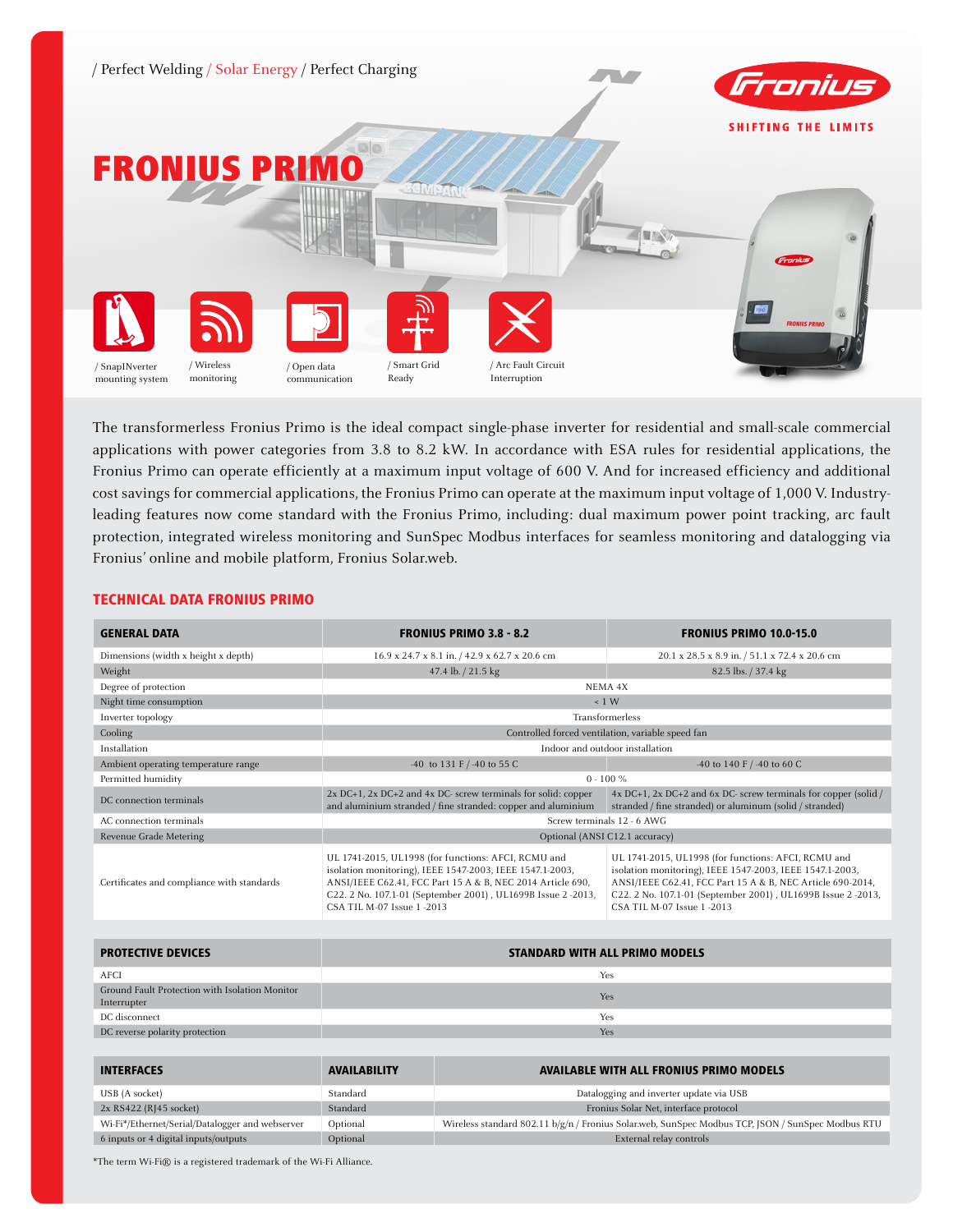

The transformerless Fronius Primo is the ideal compact single-phase inverter for residential and small-scale commercial applications with power categories from 3.8 to 8.2 kW. In accordance with ESA rules for residential applications, the Fronius Primo can operate efficiently at a maximum input voltage of 600 V. And for increased efficiency and additional cost savings for commercial applications, the Fronius Primo can operate at the maximum input voltage of 1,000 V. Industryleading features now come standard with the Fronius Primo, including: dual maximum power point tracking, arc fault protection, integrated wireless monitoring and SunSpec Modbus interfaces for seamless monitoring and datalogging via Fronius' online and mobile platform, Fronius Solar.web.

## TECHNICAL DATA FRONIUS PRIMO

| <b>GENERAL DATA</b>                                           | <b>FRONIUS PRIMO 3.8 - 8.2</b>                                                                                                                                                                                                                                             |                                                                                                                                    | <b>FRONIUS PRIMO 10.0-15.0</b>                                                                                                                                                                                                                                             |  |
|---------------------------------------------------------------|----------------------------------------------------------------------------------------------------------------------------------------------------------------------------------------------------------------------------------------------------------------------------|------------------------------------------------------------------------------------------------------------------------------------|----------------------------------------------------------------------------------------------------------------------------------------------------------------------------------------------------------------------------------------------------------------------------|--|
| Dimensions (width x height x depth)                           | 16.9 x 24.7 x 8.1 in. / 42.9 x 62.7 x 20.6 cm                                                                                                                                                                                                                              |                                                                                                                                    | 20.1 x 28.5 x 8.9 in. / 51.1 x 72.4 x 20.6 cm                                                                                                                                                                                                                              |  |
| Weight                                                        |                                                                                                                                                                                                                                                                            | 47.4 lb. / 21.5 kg                                                                                                                 | 82.5 lbs. / 37.4 kg                                                                                                                                                                                                                                                        |  |
| Degree of protection                                          |                                                                                                                                                                                                                                                                            |                                                                                                                                    | NEMA 4X                                                                                                                                                                                                                                                                    |  |
| Night time consumption                                        |                                                                                                                                                                                                                                                                            | $\leq 1$ W                                                                                                                         |                                                                                                                                                                                                                                                                            |  |
| Inverter topology                                             |                                                                                                                                                                                                                                                                            | Transformerless                                                                                                                    |                                                                                                                                                                                                                                                                            |  |
| Cooling                                                       |                                                                                                                                                                                                                                                                            |                                                                                                                                    | Controlled forced ventilation, variable speed fan                                                                                                                                                                                                                          |  |
| Installation                                                  |                                                                                                                                                                                                                                                                            |                                                                                                                                    | Indoor and outdoor installation                                                                                                                                                                                                                                            |  |
| Ambient operating temperature range                           |                                                                                                                                                                                                                                                                            | -40 to 131 F / -40 to 55 C                                                                                                         | -40 to 140 F / -40 to 60 C                                                                                                                                                                                                                                                 |  |
| Permitted humidity                                            |                                                                                                                                                                                                                                                                            |                                                                                                                                    | $0 - 100 \%$                                                                                                                                                                                                                                                               |  |
| DC connection terminals                                       |                                                                                                                                                                                                                                                                            | $2x$ DC+1, $2x$ DC+2 and $4x$ DC-screw terminals for solid: copper<br>and aluminium stranded / fine stranded: copper and aluminium | $4x$ DC+1, 2x DC+2 and 6x DC- screw terminals for copper (solid /<br>stranded / fine stranded) or aluminum (solid / stranded)                                                                                                                                              |  |
| AC connection terminals                                       | Screw terminals 12 - 6 AWG                                                                                                                                                                                                                                                 |                                                                                                                                    |                                                                                                                                                                                                                                                                            |  |
| Revenue Grade Metering                                        | Optional (ANSI C12.1 accuracy)                                                                                                                                                                                                                                             |                                                                                                                                    |                                                                                                                                                                                                                                                                            |  |
| Certificates and compliance with standards                    | UL 1741-2015, UL1998 (for functions: AFCI, RCMU and<br>isolation monitoring), IEEE 1547-2003, IEEE 1547.1-2003,<br>ANSI/IEEE C62.41, FCC Part 15 A & B, NEC 2014 Article 690,<br>C22. 2 No. 107.1-01 (September 2001), UL1699B Issue 2-2013,<br>CSA TIL M-07 Issue 1 -2013 |                                                                                                                                    | UL 1741-2015, UL1998 (for functions: AFCI, RCMU and<br>isolation monitoring), IEEE 1547-2003, IEEE 1547.1-2003,<br>ANSI/IEEE C62.41, FCC Part 15 A & B, NEC Article 690-2014,<br>C22. 2 No. 107.1-01 (September 2001), UL1699B Issue 2-2013,<br>CSA TIL M-07 Issue 1 -2013 |  |
|                                                               |                                                                                                                                                                                                                                                                            |                                                                                                                                    |                                                                                                                                                                                                                                                                            |  |
| <b>PROTECTIVE DEVICES</b>                                     | <b>STANDARD WITH ALL PRIMO MODELS</b>                                                                                                                                                                                                                                      |                                                                                                                                    |                                                                                                                                                                                                                                                                            |  |
| AFCI                                                          |                                                                                                                                                                                                                                                                            |                                                                                                                                    | Yes                                                                                                                                                                                                                                                                        |  |
| Ground Fault Protection with Isolation Monitor<br>Interrupter |                                                                                                                                                                                                                                                                            |                                                                                                                                    | Yes                                                                                                                                                                                                                                                                        |  |
| DC disconnect                                                 |                                                                                                                                                                                                                                                                            |                                                                                                                                    | Yes                                                                                                                                                                                                                                                                        |  |
| DC reverse polarity protection                                | Yes                                                                                                                                                                                                                                                                        |                                                                                                                                    |                                                                                                                                                                                                                                                                            |  |
|                                                               |                                                                                                                                                                                                                                                                            |                                                                                                                                    |                                                                                                                                                                                                                                                                            |  |
| <b>INTERFACES</b>                                             | <b>AVAILABILITY</b>                                                                                                                                                                                                                                                        |                                                                                                                                    | <b>AVAILABLE WITH ALL FRONIUS PRIMO MODELS</b>                                                                                                                                                                                                                             |  |
| USB (A socket)                                                | Standard                                                                                                                                                                                                                                                                   | Datalogging and inverter update via USB                                                                                            |                                                                                                                                                                                                                                                                            |  |
| 2x RS422 (RJ45 socket)                                        | Standard                                                                                                                                                                                                                                                                   | Fronius Solar Net, interface protocol                                                                                              |                                                                                                                                                                                                                                                                            |  |

Wi-Fi\*/Ethernet/Serial/Datalogger and webserver Optional Wireless standard 802.11 b/g/n / Fronius Solar.web, SunSpec Modbus TCP, JSON / SunSpec Modbus RTU

6 inputs or 4 digital inputs/outputs Optional External relay controls

\*The term Wi-Fi® is a registered trademark of the Wi-Fi Alliance.